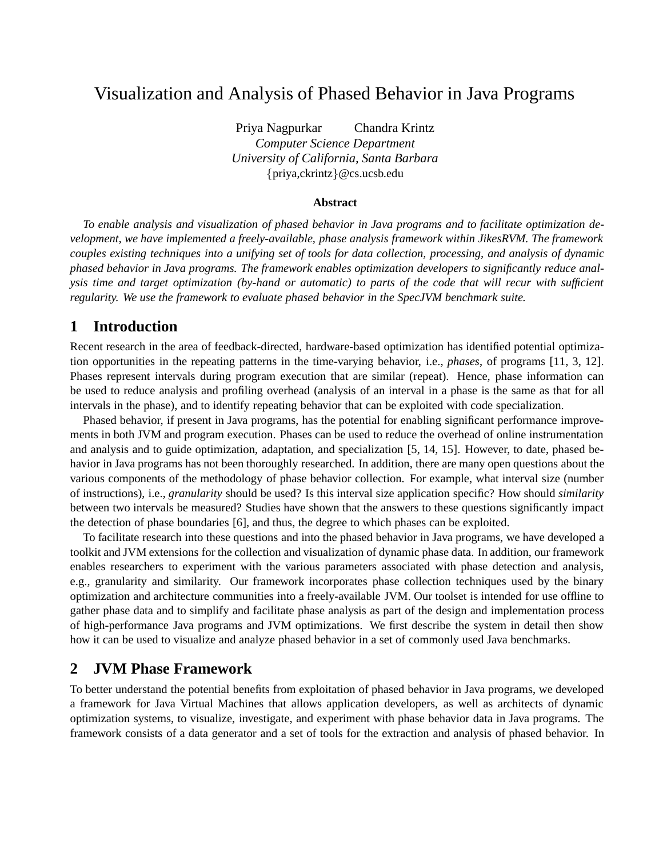# Visualization and Analysis of Phased Behavior in Java Programs

Priya Nagpurkar Chandra Krintz *Computer Science Department University of California, Santa Barbara* priya,ckrintz-@cs.ucsb.edu

#### **Abstract**

*To enable analysis and visualization of phased behavior in Java programs and to facilitate optimization development, we have implemented a freely-available, phase analysis framework within JikesRVM. The framework couples existing techniques into a unifying set of tools for data collection, processing, and analysis of dynamic phased behavior in Java programs. The framework enables optimization developers to significantly reduce analysis time and target optimization (by-hand or automatic) to parts of the code that will recur with sufficient regularity. We use the framework to evaluate phased behavior in the SpecJVM benchmark suite.*

### **1 Introduction**

Recent research in the area of feedback-directed, hardware-based optimization has identified potential optimization opportunities in the repeating patterns in the time-varying behavior, i.e., *phases*, of programs [11, 3, 12]. Phases represent intervals during program execution that are similar (repeat). Hence, phase information can be used to reduce analysis and profiling overhead (analysis of an interval in a phase is the same as that for all intervals in the phase), and to identify repeating behavior that can be exploited with code specialization.

Phased behavior, if present in Java programs, has the potential for enabling significant performance improvements in both JVM and program execution. Phases can be used to reduce the overhead of online instrumentation and analysis and to guide optimization, adaptation, and specialization [5, 14, 15]. However, to date, phased behavior in Java programs has not been thoroughly researched. In addition, there are many open questions about the various components of the methodology of phase behavior collection. For example, what interval size (number of instructions), i.e., *granularity* should be used? Is this interval size application specific? How should *similarity* between two intervals be measured? Studies have shown that the answers to these questions significantly impact the detection of phase boundaries [6], and thus, the degree to which phases can be exploited.

To facilitate research into these questions and into the phased behavior in Java programs, we have developed a toolkit and JVM extensions for the collection and visualization of dynamic phase data. In addition, our framework enables researchers to experiment with the various parameters associated with phase detection and analysis, e.g., granularity and similarity. Our framework incorporates phase collection techniques used by the binary optimization and architecture communities into a freely-available JVM. Our toolset is intended for use offline to gather phase data and to simplify and facilitate phase analysis as part of the design and implementation process of high-performance Java programs and JVM optimizations. We first describe the system in detail then show how it can be used to visualize and analyze phased behavior in a set of commonly used Java benchmarks.

### **2 JVM Phase Framework**

To better understand the potential benefits from exploitation of phased behavior in Java programs, we developed a framework for Java Virtual Machines that allows application developers, as well as architects of dynamic optimization systems, to visualize, investigate, and experiment with phase behavior data in Java programs. The framework consists of a data generator and a set of tools for the extraction and analysis of phased behavior. In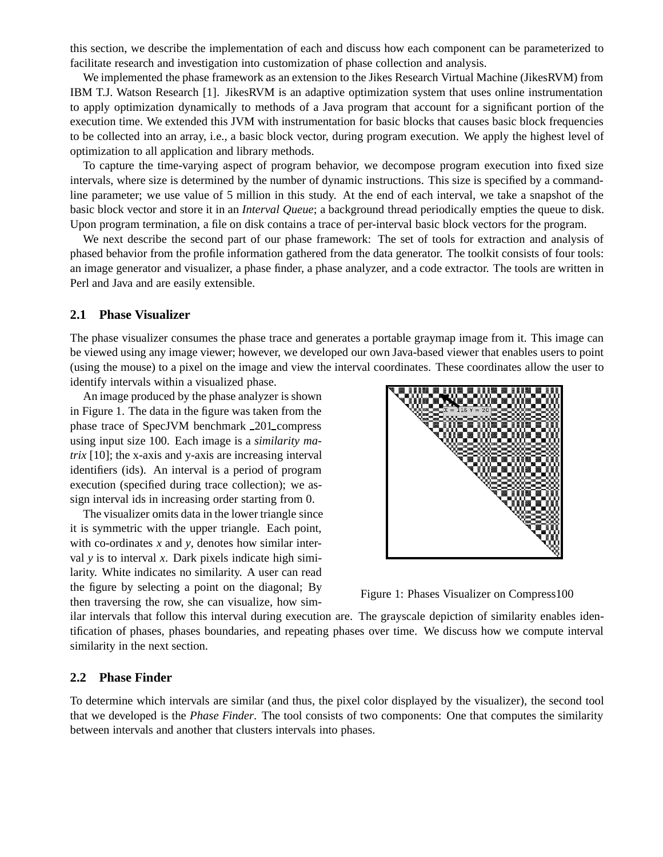this section, we describe the implementation of each and discuss how each component can be parameterized to facilitate research and investigation into customization of phase collection and analysis.

We implemented the phase framework as an extension to the Jikes Research Virtual Machine (JikesRVM) from IBM T.J. Watson Research [1]. JikesRVM is an adaptive optimization system that uses online instrumentation to apply optimization dynamically to methods of a Java program that account for a significant portion of the execution time. We extended this JVM with instrumentation for basic blocks that causes basic block frequencies to be collected into an array, i.e., a basic block vector, during program execution. We apply the highest level of optimization to all application and library methods.

To capture the time-varying aspect of program behavior, we decompose program execution into fixed size intervals, where size is determined by the number of dynamic instructions. This size is specified by a commandline parameter; we use value of 5 million in this study. At the end of each interval, we take a snapshot of the basic block vector and store it in an *Interval Queue*; a background thread periodically empties the queue to disk. Upon program termination, a file on disk contains a trace of per-interval basic block vectors for the program.

We next describe the second part of our phase framework: The set of tools for extraction and analysis of phased behavior from the profile information gathered from the data generator. The toolkit consists of four tools: an image generator and visualizer, a phase finder, a phase analyzer, and a code extractor. The tools are written in Perl and Java and are easily extensible.

#### **2.1 Phase Visualizer**

The phase visualizer consumes the phase trace and generates a portable graymap image from it. This image can be viewed using any image viewer; however, we developed our own Java-based viewer that enables users to point (using the mouse) to a pixel on the image and view the interval coordinates. These coordinates allow the user to identify intervals within a visualized phase.

An image produced by the phase analyzer is shown in Figure 1. The data in the figure was taken from the phase trace of SpecJVM benchmark \_201\_compress using input size 100. Each image is a *similarity matrix* [10]; the x-axis and y-axis are increasing interval identifiers (ids). An interval is a period of program execution (specified during trace collection); we assign interval ids in increasing order starting from 0.

The visualizer omits data in the lower triangle since it is symmetric with the upper triangle. Each point, with co-ordinates *x* and *y*, denotes how similar interval *y* is to interval *x*. Dark pixels indicate high similarity. White indicates no similarity. A user can read the figure by selecting a point on the diagonal; By then traversing the row, she can visualize, how sim-



Figure 1: Phases Visualizer on Compress100

ilar intervals that follow this interval during execution are. The grayscale depiction of similarity enables identification of phases, phases boundaries, and repeating phases over time. We discuss how we compute interval similarity in the next section.

#### **2.2 Phase Finder**

To determine which intervals are similar (and thus, the pixel color displayed by the visualizer), the second tool that we developed is the *Phase Finder*. The tool consists of two components: One that computes the similarity between intervals and another that clusters intervals into phases.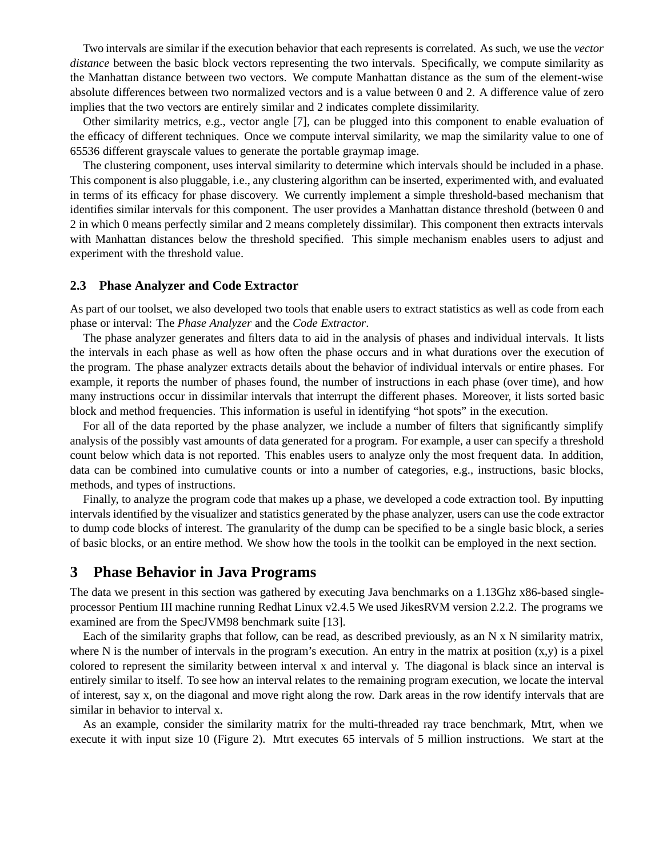Two intervals are similar if the execution behavior that each represents is correlated. As such, we use the *vector distance* between the basic block vectors representing the two intervals. Specifically, we compute similarity as the Manhattan distance between two vectors. We compute Manhattan distance as the sum of the element-wise absolute differences between two normalized vectors and is a value between 0 and 2. A difference value of zero implies that the two vectors are entirely similar and 2 indicates complete dissimilarity.

Other similarity metrics, e.g., vector angle [7], can be plugged into this component to enable evaluation of the efficacy of different techniques. Once we compute interval similarity, we map the similarity value to one of 65536 different grayscale values to generate the portable graymap image.

The clustering component, uses interval similarity to determine which intervals should be included in a phase. This component is also pluggable, i.e., any clustering algorithm can be inserted, experimented with, and evaluated in terms of its efficacy for phase discovery. We currently implement a simple threshold-based mechanism that identifies similar intervals for this component. The user provides a Manhattan distance threshold (between 0 and 2 in which 0 means perfectly similar and 2 means completely dissimilar). This component then extracts intervals with Manhattan distances below the threshold specified. This simple mechanism enables users to adjust and experiment with the threshold value.

#### **2.3 Phase Analyzer and Code Extractor**

As part of our toolset, we also developed two tools that enable users to extract statistics as well as code from each phase or interval: The *Phase Analyzer* and the *Code Extractor*.

The phase analyzer generates and filters data to aid in the analysis of phases and individual intervals. It lists the intervals in each phase as well as how often the phase occurs and in what durations over the execution of the program. The phase analyzer extracts details about the behavior of individual intervals or entire phases. For example, it reports the number of phases found, the number of instructions in each phase (over time), and how many instructions occur in dissimilar intervals that interrupt the different phases. Moreover, it lists sorted basic block and method frequencies. This information is useful in identifying "hot spots" in the execution.

For all of the data reported by the phase analyzer, we include a number of filters that significantly simplify analysis of the possibly vast amounts of data generated for a program. For example, a user can specify a threshold count below which data is not reported. This enables users to analyze only the most frequent data. In addition, data can be combined into cumulative counts or into a number of categories, e.g., instructions, basic blocks, methods, and types of instructions.

Finally, to analyze the program code that makes up a phase, we developed a code extraction tool. By inputting intervals identified by the visualizer and statistics generated by the phase analyzer, users can use the code extractor to dump code blocks of interest. The granularity of the dump can be specified to be a single basic block, a series of basic blocks, or an entire method. We show how the tools in the toolkit can be employed in the next section.

#### **3 Phase Behavior in Java Programs**

The data we present in this section was gathered by executing Java benchmarks on a 1.13Ghz x86-based singleprocessor Pentium III machine running Redhat Linux v2.4.5 We used JikesRVM version 2.2.2. The programs we examined are from the SpecJVM98 benchmark suite [13].

Each of the similarity graphs that follow, can be read, as described previously, as an N x N similarity matrix, where N is the number of intervals in the program's execution. An entry in the matrix at position  $(x,y)$  is a pixel colored to represent the similarity between interval x and interval y. The diagonal is black since an interval is entirely similar to itself. To see how an interval relates to the remaining program execution, we locate the interval of interest, say x, on the diagonal and move right along the row. Dark areas in the row identify intervals that are similar in behavior to interval x.

As an example, consider the similarity matrix for the multi-threaded ray trace benchmark, Mtrt, when we execute it with input size 10 (Figure 2). Mtrt executes 65 intervals of 5 million instructions. We start at the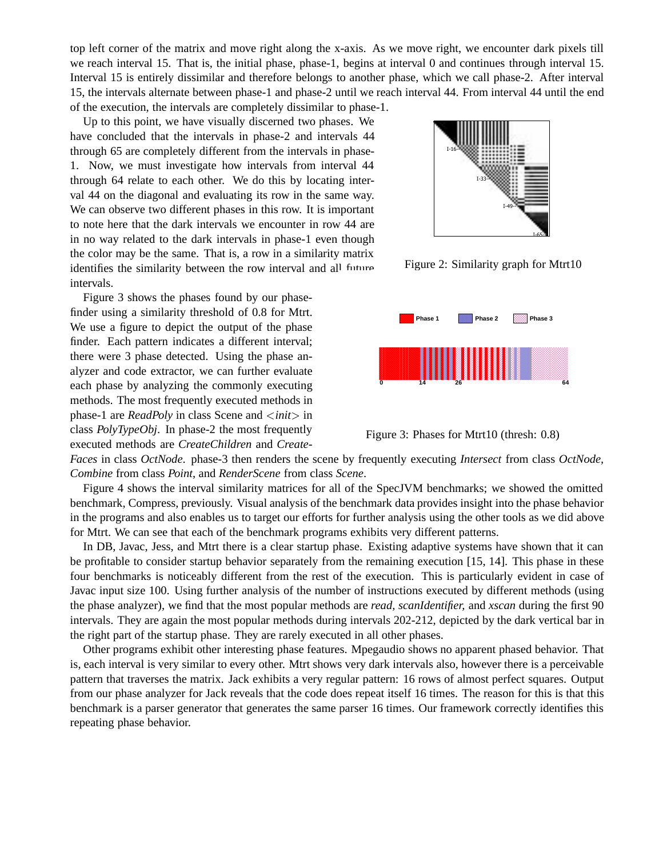top left corner of the matrix and move right along the x-axis. As we move right, we encounter dark pixels till we reach interval 15. That is, the initial phase, phase-1, begins at interval 0 and continues through interval 15. Interval 15 is entirely dissimilar and therefore belongs to another phase, which we call phase-2. After interval 15, the intervals alternate between phase-1 and phase-2 until we reach interval 44. From interval 44 until the end of the execution, the intervals are completely dissimilar to phase-1.

Up to this point, we have visually discerned two phases. We have concluded that the intervals in phase-2 and intervals 44 through 65 are completely different from the intervals in phase-1. Now, we must investigate how intervals from interval 44 through 64 relate to each other. We do this by locating interval 44 on the diagonal and evaluating its row in the same way. We can observe two different phases in this row. It is important to note here that the dark intervals we encounter in row 44 are in no way related to the dark intervals in phase-1 even though the color may be the same. That is, a row in a similarity matrix identifies the similarity between the row interval and all future intervals.

Figure 3 shows the phases found by our phasefinder using a similarity threshold of 0.8 for Mtrt. We use a figure to depict the output of the phase finder. Each pattern indicates a different interval; there were 3 phase detected. Using the phase analyzer and code extractor, we can further evaluate each phase by analyzing the commonly executing methods. The most frequently executed methods in phase-1 are *ReadPoly* in class Scene and  $\langle init \rangle$  in class *PolyTypeObj*. In phase-2 the most frequently executed methods are *CreateChildren* and *Create-*



Figure 2: Similarity graph for Mtrt10





*Faces* in class *OctNode*. phase-3 then renders the scene by frequently executing *Intersect* from class *OctNode, Combine* from class *Point*, and *RenderScene* from class *Scene*.

Figure 4 shows the interval similarity matrices for all of the SpecJVM benchmarks; we showed the omitted benchmark, Compress, previously. Visual analysis of the benchmark data provides insight into the phase behavior in the programs and also enables us to target our efforts for further analysis using the other tools as we did above for Mtrt. We can see that each of the benchmark programs exhibits very different patterns.

In DB, Javac, Jess, and Mtrt there is a clear startup phase. Existing adaptive systems have shown that it can be profitable to consider startup behavior separately from the remaining execution [15, 14]. This phase in these four benchmarks is noticeably different from the rest of the execution. This is particularly evident in case of Javac input size 100. Using further analysis of the number of instructions executed by different methods (using the phase analyzer), we find that the most popular methods are *read, scanIdentifier,* and *xscan* during the first 90 intervals. They are again the most popular methods during intervals 202-212, depicted by the dark vertical bar in the right part of the startup phase. They are rarely executed in all other phases.

Other programs exhibit other interesting phase features. Mpegaudio shows no apparent phased behavior. That is, each interval is very similar to every other. Mtrt shows very dark intervals also, however there is a perceivable pattern that traverses the matrix. Jack exhibits a very regular pattern: 16 rows of almost perfect squares. Output from our phase analyzer for Jack reveals that the code does repeat itself 16 times. The reason for this is that this benchmark is a parser generator that generates the same parser 16 times. Our framework correctly identifies this repeating phase behavior.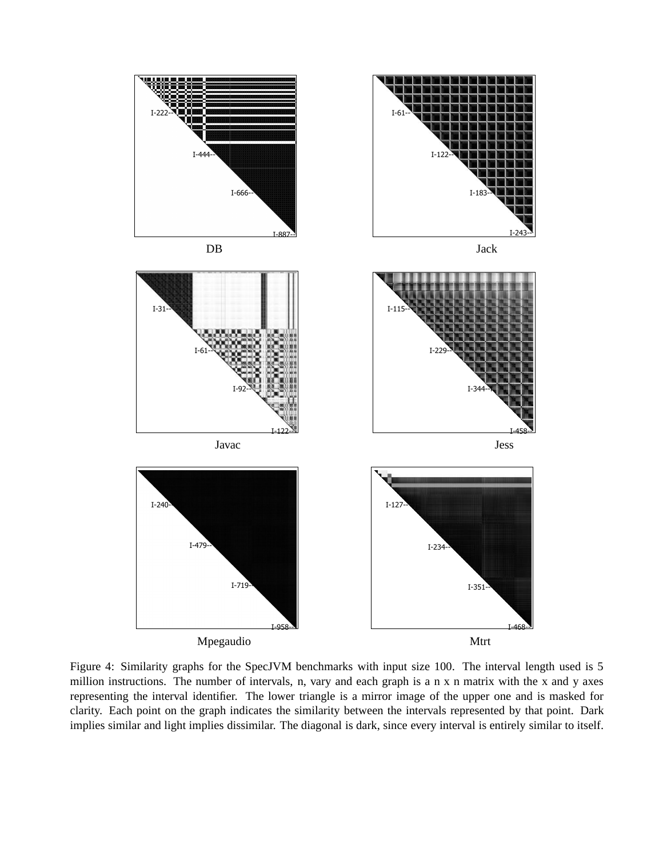

Figure 4: Similarity graphs for the SpecJVM benchmarks with input size 100. The interval length used is 5 million instructions. The number of intervals, n, vary and each graph is a n x n matrix with the x and y axes representing the interval identifier. The lower triangle is a mirror image of the upper one and is masked for clarity. Each point on the graph indicates the similarity between the intervals represented by that point. Dark implies similar and light implies dissimilar. The diagonal is dark, since every interval is entirely similar to itself.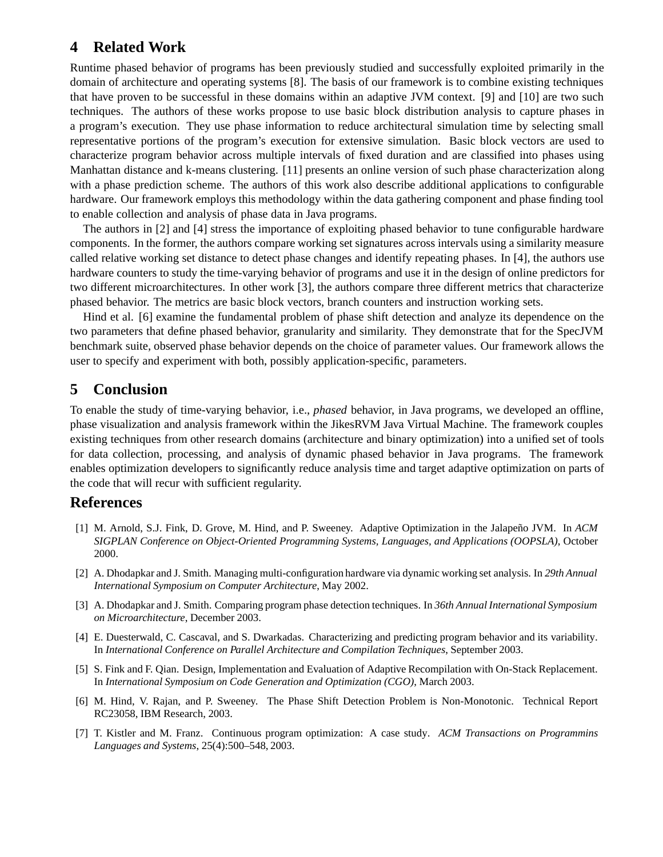# **4 Related Work**

Runtime phased behavior of programs has been previously studied and successfully exploited primarily in the domain of architecture and operating systems [8]. The basis of our framework is to combine existing techniques that have proven to be successful in these domains within an adaptive JVM context. [9] and [10] are two such techniques. The authors of these works propose to use basic block distribution analysis to capture phases in a program's execution. They use phase information to reduce architectural simulation time by selecting small representative portions of the program's execution for extensive simulation. Basic block vectors are used to characterize program behavior across multiple intervals of fixed duration and are classified into phases using Manhattan distance and k-means clustering. [11] presents an online version of such phase characterization along with a phase prediction scheme. The authors of this work also describe additional applications to configurable hardware. Our framework employs this methodology within the data gathering component and phase finding tool to enable collection and analysis of phase data in Java programs.

The authors in [2] and [4] stress the importance of exploiting phased behavior to tune configurable hardware components. In the former, the authors compare working set signatures across intervals using a similarity measure called relative working set distance to detect phase changes and identify repeating phases. In [4], the authors use hardware counters to study the time-varying behavior of programs and use it in the design of online predictors for two different microarchitectures. In other work [3], the authors compare three different metrics that characterize phased behavior. The metrics are basic block vectors, branch counters and instruction working sets.

Hind et al. [6] examine the fundamental problem of phase shift detection and analyze its dependence on the two parameters that define phased behavior, granularity and similarity. They demonstrate that for the SpecJVM benchmark suite, observed phase behavior depends on the choice of parameter values. Our framework allows the user to specify and experiment with both, possibly application-specific, parameters.

# **5 Conclusion**

To enable the study of time-varying behavior, i.e., *phased* behavior, in Java programs, we developed an offline, phase visualization and analysis framework within the JikesRVM Java Virtual Machine. The framework couples existing techniques from other research domains (architecture and binary optimization) into a unified set of tools for data collection, processing, and analysis of dynamic phased behavior in Java programs. The framework enables optimization developers to significantly reduce analysis time and target adaptive optimization on parts of the code that will recur with sufficient regularity.

### **References**

- [1] M. Arnold, S.J. Fink, D. Grove, M. Hind, and P. Sweeney. Adaptive Optimization in the Jalapeño JVM. In *ACM SIGPLAN Conference on Object-Oriented Programming Systems, Languages, and Applications (OOPSLA)*, October 2000.
- [2] A. Dhodapkar and J. Smith. Managing multi-configuration hardware via dynamic working set analysis. In *29th Annual International Symposium on Computer Architecture*, May 2002.
- [3] A. Dhodapkar and J. Smith. Comparing program phase detection techniques. In *36th Annual International Symposium on Microarchitecture*, December 2003.
- [4] E. Duesterwald, C. Cascaval, and S. Dwarkadas. Characterizing and predicting program behavior and its variability. In *International Conference on Parallel Architecture and Compilation Techniques*, September 2003.
- [5] S. Fink and F. Qian. Design, Implementation and Evaluation of Adaptive Recompilation with On-Stack Replacement. In *International Symposium on Code Generation and Optimization (CGO)*, March 2003.
- [6] M. Hind, V. Rajan, and P. Sweeney. The Phase Shift Detection Problem is Non-Monotonic. Technical Report RC23058, IBM Research, 2003.
- [7] T. Kistler and M. Franz. Continuous program optimization: A case study. *ACM Transactions on Programmins Languages and Systems*, 25(4):500–548, 2003.